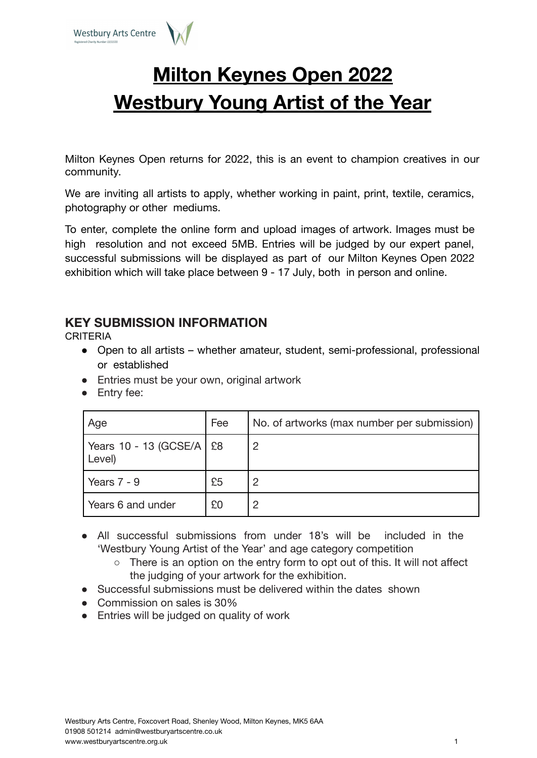

# **Milton Keynes Open 2022 Westbury Young Artist of the Year**

Milton Keynes Open returns for 2022, this is an event to champion creatives in our community.

We are inviting all artists to apply, whether working in paint, print, textile, ceramics, photography or other mediums.

To enter, complete the online form and upload images of artwork. Images must be high resolution and not exceed 5MB. Entries will be judged by our expert panel, successful submissions will be displayed as part of our Milton Keynes Open 2022 exhibition which will take place between 9 - 17 July, both in person and online.

### **KEY SUBMISSION INFORMATION**

CRITERIA

- Open to all artists whether amateur, student, semi-professional, professional or established
- Entries must be your own, original artwork
- Entry fee:

| Age                                  | Fee | No. of artworks (max number per submission) |
|--------------------------------------|-----|---------------------------------------------|
| Years 10 - 13 (GCSE/A   £8<br>Level) |     | $\overline{2}$                              |
| Years $7 - 9$                        | £5  | 2                                           |
| Years 6 and under                    | £0  | 2                                           |

- All successful submissions from under 18's will be included in the 'Westbury Young Artist of the Year' and age category competition
	- $\circ$  There is an option on the entry form to opt out of this. It will not affect the judging of your artwork for the exhibition.
- Successful submissions must be delivered within the dates shown
- Commission on sales is 30%
- Entries will be judged on quality of work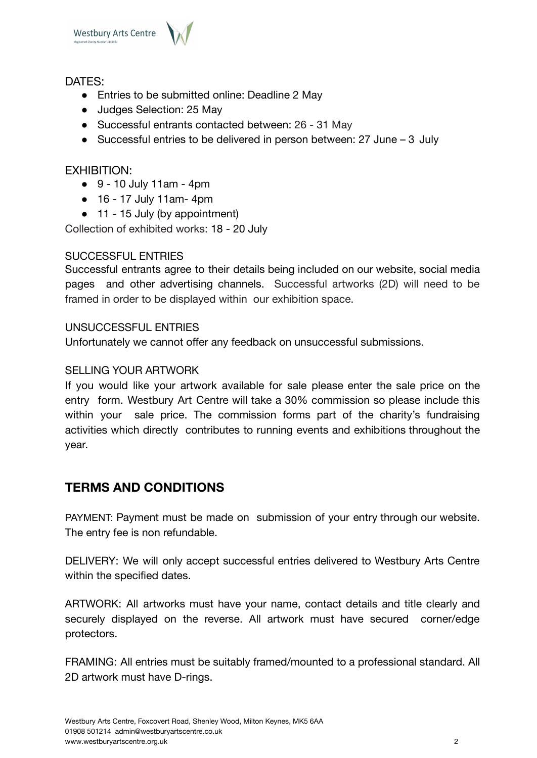

#### DATES:

- Entries to be submitted online: Deadline 2 May
- Judges Selection: 25 May
- Successful entrants contacted between: 26 31 May
- Successful entries to be delivered in person between: 27 June 3 July

#### EXHIBITION:

- $\bullet$  9 10 July 11am 4pm
- 16 17 July 11am- 4pm
- 11 15 July (by appointment)

Collection of exhibited works: 18 - 20 July

#### SUCCESSEUL ENTRIES

Successful entrants agree to their details being included on our website, social media pages and other advertising channels. Successful artworks (2D) will need to be framed in order to be displayed within our exhibition space.

#### UNSUCCESSFUL ENTRIES

Unfortunately we cannot offer any feedback on unsuccessful submissions.

#### SELLING YOUR ARTWORK

If you would like your artwork available for sale please enter the sale price on the entry form. Westbury Art Centre will take a 30% commission so please include this within your sale price. The commission forms part of the charity's fundraising activities which directly contributes to running events and exhibitions throughout the year.

### **TERMS AND CONDITIONS**

PAYMENT: Payment must be made on submission of your entry through our website. The entry fee is non refundable.

DELIVERY: We will only accept successful entries delivered to Westbury Arts Centre within the specified dates.

ARTWORK: All artworks must have your name, contact details and title clearly and securely displayed on the reverse. All artwork must have secured corner/edge protectors.

FRAMING: All entries must be suitably framed/mounted to a professional standard. All 2D artwork must have D-rings.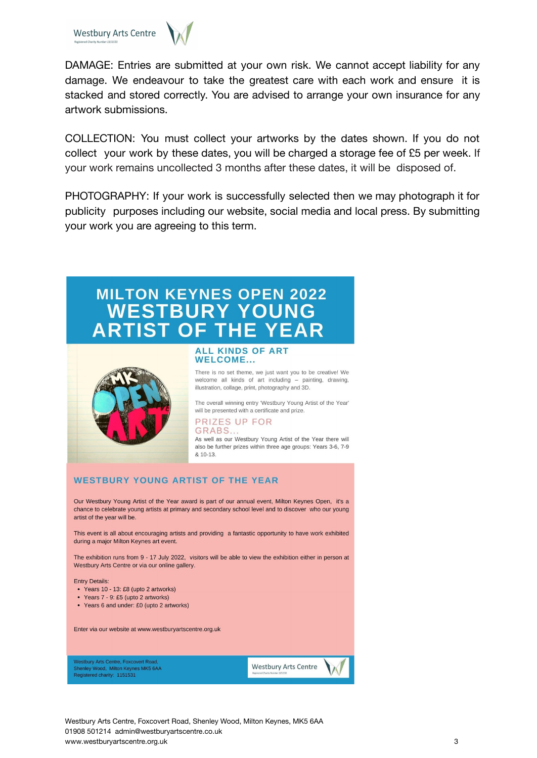



DAMAGE: Entries are submitted at your own risk. We cannot accept liability for any damage. We endeavour to take the greatest care with each work and ensure it is stacked and stored correctly. You are advised to arrange your own insurance for any artwork submissions.

COLLECTION: You must collect your artworks by the dates shown. If you do not collect your work by these dates, you will be charged a storage fee of £5 per week. If your work remains uncollected 3 months after these dates, it will be disposed of.

PHOTOGRAPHY: If your work is successfully selected then we may photograph it for publicity purposes including our website, social media and local press. By submitting your work you are agreeing to this term.

## **MILTON KEYNES OPEN 2022 WESTBURY YOUNG ARTIST OF THE YEAR**



**ALL KINDS OF ART WELCOME...** 

There is no set theme, we just want you to be creative! We welcome all kinds of art including - painting, drawing, illustration, collage, print, photography and 3D.

The overall winning entry 'Westbury Young Artist of the Year' will be presented with a certificate and prize.

#### **PRIZES UP FOR** GRABS..

As well as our Westbury Young Artist of the Year there will also be further prizes within three age groups: Years 3-6, 7-9 & 10-13

#### **WESTBURY YOUNG ARTIST OF THE YEAR**

Our Westbury Young Artist of the Year award is part of our annual event. Milton Keynes Open. it's a chance to celebrate young artists at primary and secondary school level and to discover who our young artist of the year will be.

This event is all about encouraging artists and providing a fantastic opportunity to have work exhibited during a major Milton Keynes art event.

The exhibition runs from 9 - 17 July 2022, visitors will be able to view the exhibition either in person at Westbury Arts Centre or via our online gallery.

**Entry Details:** 

- Years 10 13: £8 (upto 2 artworks)
- Years 7 9: £5 (upto 2 artworks)
- Years 6 and under: £0 (upto 2 artworks)

Enter via our website at www.westburyartscentre.org.uk

**Westbury Arts Centre, Foxcovert Road** Shenley Wood, Milton Keynes MK5 6AA<br>Registered charity: 1151531 **Westbury Arts Centre** 

Westbury Arts Centre, Foxcovert Road, Shenley Wood, Milton Keynes, MK5 6AA 01908 501214 admin@westburyartscentre.co.uk www.westburyartscentre.org.uk